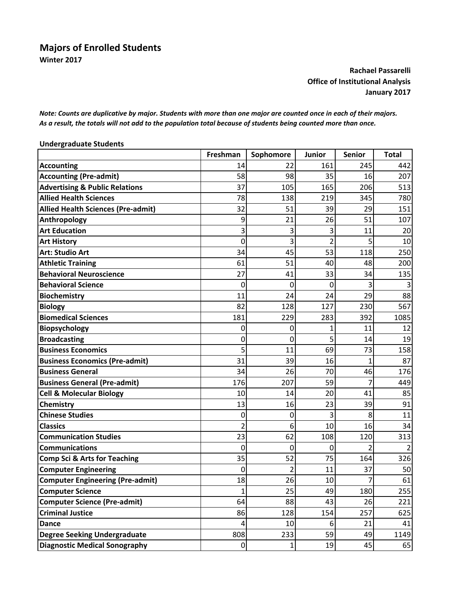## **Majors of Enrolled Students Winter 2017**

## **Rachael Passarelli Office of Institutional Analysis January 2017**

Note: Counts are duplicative by major. Students with more than one major are counted once in each of their majors. As a result, the totals will not add to the population total because of students being counted more than once.

| <b>Undergraduate Students</b>             |                |                |                |                |              |
|-------------------------------------------|----------------|----------------|----------------|----------------|--------------|
|                                           | Freshman       | Sophomore      | <b>Junior</b>  | <b>Senior</b>  | <b>Total</b> |
| <b>Accounting</b>                         | 14             | 22             | 161            | 245            | 442          |
| <b>Accounting (Pre-admit)</b>             | 58             | 98             | 35             | 16             | 207          |
| <b>Advertising &amp; Public Relations</b> | 37             | 105            | 165            | 206            | 513          |
| <b>Allied Health Sciences</b>             | 78             | 138            | 219            | 345            | 780          |
| <b>Allied Health Sciences (Pre-admit)</b> | 32             | 51             | 39             | 29             | 151          |
| Anthropology                              | 9              | 21             | 26             | 51             | 107          |
| <b>Art Education</b>                      | 3              | 3              | 3              | 11             | 20           |
| <b>Art History</b>                        | $\mathbf 0$    | 3              | $\overline{2}$ | 5              | 10           |
| <b>Art: Studio Art</b>                    | 34             | 45             | 53             | 118            | 250          |
| <b>Athletic Training</b>                  | 61             | 51             | 40             | 48             | 200          |
| <b>Behavioral Neuroscience</b>            | 27             | 41             | 33             | 34             | 135          |
| <b>Behavioral Science</b>                 | $\mathbf 0$    | 0              | 0              | 3              |              |
| <b>Biochemistry</b>                       | 11             | 24             | 24             | 29             | 88           |
| <b>Biology</b>                            | 82             | 128            | 127            | 230            | 567          |
| <b>Biomedical Sciences</b>                | 181            | 229            | 283            | 392            | 1085         |
| Biopsychology                             | 0              | 0              | 1              | 11             | 12           |
| <b>Broadcasting</b>                       | 0              | 0              | 5              | 14             | 19           |
| <b>Business Economics</b>                 | 5              | 11             | 69             | 73             | 158          |
| <b>Business Economics (Pre-admit)</b>     | 31             | 39             | 16             | 1              | 87           |
| <b>Business General</b>                   | 34             | 26             | 70             | 46             | 176          |
| <b>Business General (Pre-admit)</b>       | 176            | 207            | 59             | 7              | 449          |
| <b>Cell &amp; Molecular Biology</b>       | 10             | 14             | 20             | 41             | 85           |
| Chemistry                                 | 13             | 16             | 23             | 39             | 91           |
| <b>Chinese Studies</b>                    | 0              | 0              | 3              | 8              | 11           |
| <b>Classics</b>                           | 2              | 6              | 10             | 16             | 34           |
| <b>Communication Studies</b>              | 23             | 62             | 108            | 120            | 313          |
| <b>Communications</b>                     | $\overline{0}$ | 0              | 0              | $\overline{2}$ |              |
| <b>Comp Sci &amp; Arts for Teaching</b>   | 35             | 52             | 75             | 164            | 326          |
| <b>Computer Engineering</b>               | $\mathbf 0$    | $\overline{2}$ | 11             | 37             | 50           |
| <b>Computer Engineering (Pre-admit)</b>   | 18             | 26             | 10             | $\overline{7}$ | 61           |
| <b>Computer Science</b>                   | $\mathbf{1}$   | 25             | 49             | 180            | 255          |
| <b>Computer Science (Pre-admit)</b>       | 64             | 88             | 43             | 26             | 221          |
| <b>Criminal Justice</b>                   | 86             | 128            | 154            | 257            | 625          |
| <b>Dance</b>                              | 4              | 10             | 6              | 21             | 41           |
| <b>Degree Seeking Undergraduate</b>       | 808            | 233            | 59             | 49             | 1149         |
| <b>Diagnostic Medical Sonography</b>      | $\pmb{0}$      | $\mathbf{1}$   | 19             | 45             | 65           |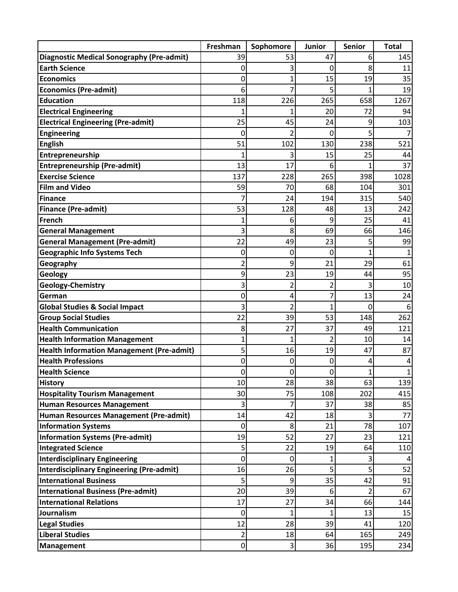|                                                  | Freshman         | Sophomore      | <b>Junior</b> | <b>Senior</b>  | <b>Total</b> |
|--------------------------------------------------|------------------|----------------|---------------|----------------|--------------|
| <b>Diagnostic Medical Sonography (Pre-admit)</b> | 39               | 53             | 47            | 6              | 145          |
| <b>Earth Science</b>                             | 0                | 3              | 0             | 8              | 11           |
| <b>Economics</b>                                 | 0                | 1              | 15            | 19             | 35           |
| <b>Economics (Pre-admit)</b>                     | 6                | 7              | 5             | 1              | 19           |
| <b>Education</b>                                 | 118              | 226            | 265           | 658            | 1267         |
| <b>Electrical Engineering</b>                    | 1                | 1              | 20            | 72             | 94           |
| <b>Electrical Engineering (Pre-admit)</b>        | 25               | 45             | 24            | 9              | 103          |
| <b>Engineering</b>                               | 0                | $\overline{2}$ | 0             | 5              |              |
| <b>English</b>                                   | 51               | 102            | 130           | 238            | 521          |
| Entrepreneurship                                 | 1                | 3              | 15            | 25             | 44           |
| <b>Entrepreneurship (Pre-admit)</b>              | 13               | 17             | 6             | 1              | 37           |
| <b>Exercise Science</b>                          | 137              | 228            | 265           | 398            | 1028         |
| <b>Film and Video</b>                            | 59               | 70             | 68            | 104            | 301          |
| Finance                                          | 7                | 24             | 194           | 315            | 540          |
| <b>Finance (Pre-admit)</b>                       | 53               | 128            | 48            | 13             | 242          |
| French                                           | 1                | 6              | 9             | 25             | 41           |
| <b>General Management</b>                        | 3                | 8              | 69            | 66             | 146          |
| <b>General Management (Pre-admit)</b>            | 22               | 49             | 23            | 5              | 99           |
| <b>Geographic Info Systems Tech</b>              | 0                | 0              | 0             | $\mathbf{1}$   |              |
| Geography                                        | $\overline{2}$   | 9              | 21            | 29             | 61           |
| Geology                                          | 9                | 23             | 19            | 44             | 95           |
| Geology-Chemistry                                | 3                | $\overline{c}$ | 2             | 3              | 10           |
| German                                           | 0                | 4              | 7             | 13             | 24           |
| <b>Global Studies &amp; Social Impact</b>        | 3                | $\overline{2}$ | 1             | 0              | 6            |
| <b>Group Social Studies</b>                      | 22               | 39             | 53            | 148            | 262          |
| <b>Health Communication</b>                      | 8                | 27             | 37            | 49             | 121          |
| <b>Health Information Management</b>             | 1                | 1              | 2             | 10             | 14           |
| <b>Health Information Management (Pre-admit)</b> | 5                | 16             | 19            | 47             | 87           |
| <b>Health Professions</b>                        | 0                | 0              | 0             | 4              | 4            |
| <b>Health Science</b>                            | $\boldsymbol{0}$ | 0              | 0             | $\mathbf{1}$   | 1            |
| <b>History</b>                                   | 10               | 28             | 38            | 63             | 139          |
| <b>Hospitality Tourism Management</b>            | 30               | 75             | 108           | 202            | 415          |
| <b>Human Resources Management</b>                | 3                | 7              | 37            | 38             | 85           |
| Human Resources Management (Pre-admit)           | 14               | 42             | 18            | 3              | 77           |
| <b>Information Systems</b>                       | $\mathbf 0$      | 8              | 21            | 78             | 107          |
| <b>Information Systems (Pre-admit)</b>           | 19               | 52             | 27            | 23             | 121          |
| <b>Integrated Science</b>                        | 5                | 22             | 19            | 64             | 110          |
| <b>Interdisciplinary Engineering</b>             | 0                | 0              | $\mathbf 1$   | 3              |              |
| <b>Interdisciplinary Engineering (Pre-admit)</b> | 16               | 26             | 5             | $\overline{5}$ | 52           |
| <b>International Business</b>                    | 5                | 9              | 35            | 42             | 91           |
| <b>International Business (Pre-admit)</b>        | 20               | 39             | 6             | $\overline{2}$ | 67           |
| <b>International Relations</b>                   | 17               | 27             | 34            | 66             | 144          |
| Journalism                                       | $\mathbf 0$      | 1              | 1             | 13             | 15           |
| <b>Legal Studies</b>                             | 12               | 28             | 39            | 41             | 120          |
| <b>Liberal Studies</b>                           | 2                | 18             | 64            | 165            | 249          |
| <b>Management</b>                                | $\boldsymbol{0}$ | 3              | 36            | 195            | 234          |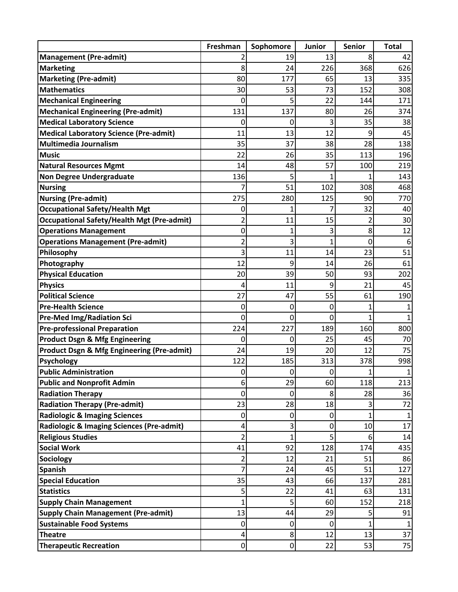|                                                   | Freshman                | Sophomore    | <b>Junior</b> | <b>Senior</b> | <b>Total</b> |
|---------------------------------------------------|-------------------------|--------------|---------------|---------------|--------------|
| <b>Management (Pre-admit)</b>                     |                         | 19           | 13            | 8             | 42           |
| <b>Marketing</b>                                  | 8                       | 24           | 226           | 368           | 626          |
| <b>Marketing (Pre-admit)</b>                      | 80                      | 177          | 65            | 13            | 335          |
| <b>Mathematics</b>                                | 30                      | 53           | 73            | 152           | 308          |
| <b>Mechanical Engineering</b>                     | 0                       | 5            | 22            | 144           | 171          |
| <b>Mechanical Engineering (Pre-admit)</b>         | 131                     | 137          | 80            | 26            | 374          |
| <b>Medical Laboratory Science</b>                 | 0                       | 0            | 3             | 35            | 38           |
| <b>Medical Laboratory Science (Pre-admit)</b>     | 11                      | 13           | 12            | 9             | 45           |
| <b>Multimedia Journalism</b>                      | 35                      | 37           | 38            | 28            | 138          |
| <b>Music</b>                                      | 22                      | 26           | 35            | 113           | 196          |
| <b>Natural Resources Mgmt</b>                     | 14                      | 48           | 57            | 100           | 219          |
| <b>Non Degree Undergraduate</b>                   | 136                     | 5            | 1             |               | 143          |
| <b>Nursing</b>                                    | 7                       | 51           | 102           | 308           | 468          |
| <b>Nursing (Pre-admit)</b>                        | 275                     | 280          | 125           | 90            | 770          |
| <b>Occupational Safety/Health Mgt</b>             | 0                       | 1            | 7             | 32            | 40           |
| <b>Occupational Safety/Health Mgt (Pre-admit)</b> | 2                       | 11           | 15            | 2             | 30           |
| <b>Operations Management</b>                      | 0                       | $\mathbf{1}$ | 3             | 8             | 12           |
| <b>Operations Management (Pre-admit)</b>          | 2                       | 3            | 1             | $\mathbf 0$   | 6            |
| Philosophy                                        | 3                       | 11           | 14            | 23            | 51           |
| Photography                                       | 12                      | 9            | 14            | 26            | 61           |
| <b>Physical Education</b>                         | 20                      | 39           | 50            | 93            | 202          |
| <b>Physics</b>                                    | 4                       | 11           | 9             | 21            | 45           |
| <b>Political Science</b>                          | 27                      | 47           | 55            | 61            | 190          |
| <b>Pre-Health Science</b>                         | 0                       | 0            | 0             | 1             |              |
| <b>Pre-Med Img/Radiation Sci</b>                  | 0                       | 0            | 0             | 1             |              |
| <b>Pre-professional Preparation</b>               | 224                     | 227          | 189           | 160           | 800          |
| <b>Product Dsgn &amp; Mfg Engineering</b>         | 0                       | 0            | 25            | 45            | 70           |
| Product Dsgn & Mfg Engineering (Pre-admit)        | 24                      | 19           | 20            | 12            | 75           |
| <b>Psychology</b><br><b>Public Administration</b> | 122<br>$\boldsymbol{0}$ | 185<br>0     | 313<br>0      | 378<br>1      | 998<br>1     |
| <b>Public and Nonprofit Admin</b>                 | 6                       | 29           | 60            | 118           | 213          |
| <b>Radiation Therapy</b>                          | 0                       | 0            | 8             | 28            | 36           |
| <b>Radiation Therapy (Pre-admit)</b>              | 23                      | 28           | 18            | 3             | 72           |
| <b>Radiologic &amp; Imaging Sciences</b>          | $\mathbf 0$             | 0            | $\mathbf 0$   | 1             | 1            |
| Radiologic & Imaging Sciences (Pre-admit)         | 4                       | 3            | $\mathbf 0$   | 10            | 17           |
| <b>Religious Studies</b>                          | 2                       | $\mathbf{1}$ | 5             | 6             | 14           |
| <b>Social Work</b>                                | 41                      | 92           | 128           | 174           | 435          |
| <b>Sociology</b>                                  | 2                       | 12           | 21            | 51            | 86           |
| <b>Spanish</b>                                    | 7                       | 24           | 45            | 51            | 127          |
| <b>Special Education</b>                          | 35                      | 43           | 66            | 137           | 281          |
| <b>Statistics</b>                                 | 5                       | 22           | 41            | 63            | 131          |
| <b>Supply Chain Management</b>                    | 1                       | 5            | 60            | 152           | 218          |
| <b>Supply Chain Management (Pre-admit)</b>        | 13                      | 44           | 29            | 5             | 91           |
| <b>Sustainable Food Systems</b>                   | $\mathbf 0$             | 0            | $\mathbf 0$   | $\mathbf{1}$  | $\mathbf{1}$ |
| <b>Theatre</b>                                    | $\pmb{4}$               | 8            | 12            | 13            | 37           |
| <b>Therapeutic Recreation</b>                     | $\pmb{0}$               | $\mathbf 0$  | 22            | 53            | 75           |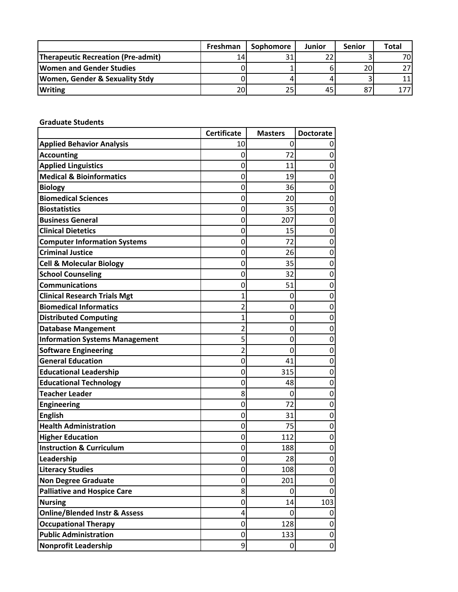|                                           | Freshman | Sophomore | Junior | <b>Senior</b> | <b>Total</b> |
|-------------------------------------------|----------|-----------|--------|---------------|--------------|
| <b>Therapeutic Recreation (Pre-admit)</b> | 14       |           |        |               | 70I          |
| <b>Women and Gender Studies</b>           |          |           |        | 20            |              |
| <b>Women, Gender &amp; Sexuality Stdy</b> |          |           |        |               |              |
| <b>Writing</b>                            | 20       | 25        | 45     | 87            |              |

**Graduate Students**

|                                          | <b>Certificate</b> | <b>Masters</b> | <b>Doctorate</b> |
|------------------------------------------|--------------------|----------------|------------------|
| <b>Applied Behavior Analysis</b>         | 10                 | 0              |                  |
| <b>Accounting</b>                        | 0                  | 72             | 0                |
| <b>Applied Linguistics</b>               | 0                  | 11             | 0                |
| <b>Medical &amp; Bioinformatics</b>      | 0                  | 19             | 0                |
| <b>Biology</b>                           | 0                  | 36             | 0                |
| <b>Biomedical Sciences</b>               | 0                  | 20             | 0                |
| <b>Biostatistics</b>                     | 0                  | 35             | 0                |
| <b>Business General</b>                  | 0                  | 207            | 0                |
| <b>Clinical Dietetics</b>                | 0                  | 15             | 0                |
| <b>Computer Information Systems</b>      | 0                  | 72             | 0                |
| <b>Criminal Justice</b>                  | 0                  | 26             | 0                |
| <b>Cell &amp; Molecular Biology</b>      | 0                  | 35             | 0                |
| <b>School Counseling</b>                 | 0                  | 32             | 0                |
| <b>Communications</b>                    | 0                  | 51             | 0                |
| <b>Clinical Research Trials Mgt</b>      | $\mathbf{1}$       | 0              | 0                |
| <b>Biomedical Informatics</b>            | 2                  | 0              | 0                |
| <b>Distributed Computing</b>             | 1                  | 0              | 0                |
| <b>Database Mangement</b>                | 2                  | 0              | 0                |
| <b>Information Systems Management</b>    | 5                  | 0              | 0                |
| <b>Software Engineering</b>              | $\overline{2}$     | $\overline{0}$ | 0                |
| <b>General Education</b>                 | 0                  | 41             | 0                |
| <b>Educational Leadership</b>            | 0                  | 315            | 0                |
| <b>Educational Technology</b>            | 0                  | 48             | 0                |
| <b>Teacher Leader</b>                    | 8                  | 0              | 0                |
| <b>Engineering</b>                       | 0                  | 72             | 0                |
| <b>English</b>                           | 0                  | 31             | 0                |
| <b>Health Administration</b>             | 0                  | 75             | 0                |
| <b>Higher Education</b>                  | 0                  | 112            | 0                |
| <b>Instruction &amp; Curriculum</b>      | 0                  | 188            | 0                |
| Leadership                               | 0                  | 28             | 0                |
| <b>Literacy Studies</b>                  | 0                  | 108            | 0                |
| <b>Non Degree Graduate</b>               | 0                  | 201            | $\mathbf 0$      |
| <b>Palliative and Hospice Care</b>       | 8                  | 0              | 0                |
| <b>Nursing</b>                           | 0                  | 14             | 103              |
| <b>Online/Blended Instr &amp; Assess</b> | 4                  | 0              | 0                |
| <b>Occupational Therapy</b>              | 0                  | 128            | 0                |
| <b>Public Administration</b>             | 0                  | 133            | 0                |
| <b>Nonprofit Leadership</b>              | 9                  | 0              | 0                |